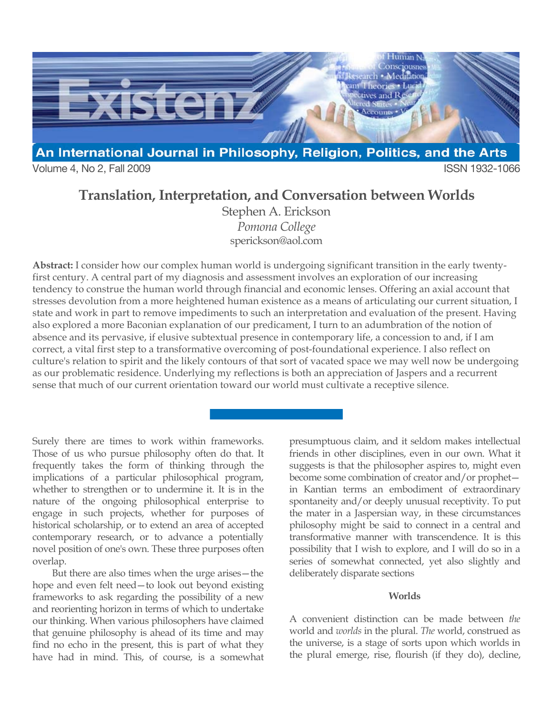

Volume 4, No 2, Fall 2009 **ISSN 1932-1066** 

# **Translation, Interpretation, and Conversation between Worlds**

Stephen A. Erickson *Pomona College* sperickson@aol.com

**Abstract:** I consider how our complex human world is undergoing significant transition in the early twentyfirst century. A central part of my diagnosis and assessment involves an exploration of our increasing tendency to construe the human world through financial and economic lenses. Offering an axial account that stresses devolution from a more heightened human existence as a means of articulating our current situation, I state and work in part to remove impediments to such an interpretation and evaluation of the present. Having also explored a more Baconian explanation of our predicament, I turn to an adumbration of the notion of absence and its pervasive, if elusive subtextual presence in contemporary life, a concession to and, if I am correct, a vital first step to a transformative overcoming of post-foundational experience. I also reflect on culture's relation to spirit and the likely contours of that sort of vacated space we may well now be undergoing as our problematic residence. Underlying my reflections is both an appreciation of Jaspers and a recurrent sense that much of our current orientation toward our world must cultivate a receptive silence.

Surely there are times to work within frameworks. Those of us who pursue philosophy often do that. It frequently takes the form of thinking through the implications of a particular philosophical program, whether to strengthen or to undermine it. It is in the nature of the ongoing philosophical enterprise to engage in such projects, whether for purposes of historical scholarship, or to extend an area of accepted contemporary research, or to advance a potentially novel position of one's own. These three purposes often overlap.

But there are also times when the urge arises—the hope and even felt need—to look out beyond existing frameworks to ask regarding the possibility of a new and reorienting horizon in terms of which to undertake our thinking. When various philosophers have claimed that genuine philosophy is ahead of its time and may find no echo in the present, this is part of what they have had in mind. This, of course, is a somewhat

presumptuous claim, and it seldom makes intellectual friends in other disciplines, even in our own. What it suggests is that the philosopher aspires to, might even become some combination of creator and/or prophet in Kantian terms an embodiment of extraordinary spontaneity and/or deeply unusual receptivity. To put the mater in a Jaspersian way, in these circumstances philosophy might be said to connect in a central and transformative manner with transcendence. It is this possibility that I wish to explore, and I will do so in a series of somewhat connected, yet also slightly and deliberately disparate sections

### **Worlds**

A convenient distinction can be made between *the* world and *worlds* in the plural. *The* world, construed as the universe, is a stage of sorts upon which worlds in the plural emerge, rise, flourish (if they do), decline,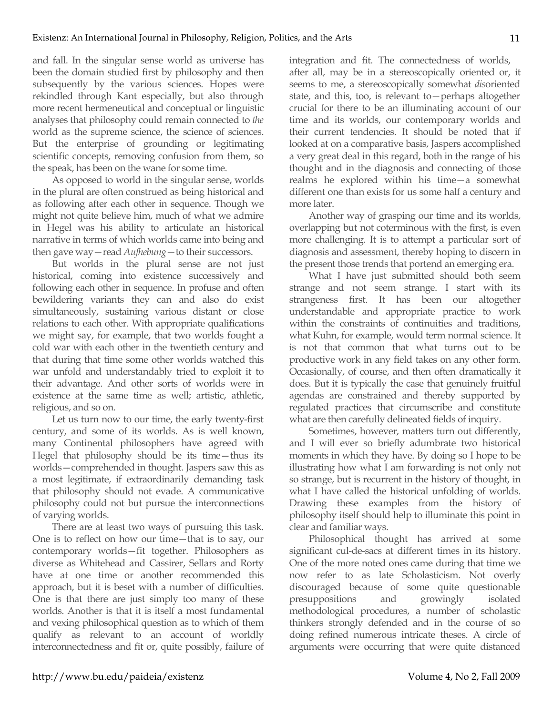and fall. In the singular sense world as universe has been the domain studied first by philosophy and then subsequently by the various sciences. Hopes were rekindled through Kant especially, but also through more recent hermeneutical and conceptual or linguistic analyses that philosophy could remain connected to *the* world as the supreme science, the science of sciences. But the enterprise of grounding or legitimating scientific concepts, removing confusion from them, so the speak, has been on the wane for some time.

As opposed to world in the singular sense, worlds in the plural are often construed as being historical and as following after each other in sequence. Though we might not quite believe him, much of what we admire in Hegel was his ability to articulate an historical narrative in terms of which worlds came into being and then gave way—read *Aufhebung*—to their successors.

But worlds in the plural sense are not just historical, coming into existence successively and following each other in sequence. In profuse and often bewildering variants they can and also do exist simultaneously, sustaining various distant or close relations to each other. With appropriate qualifications we might say, for example, that two worlds fought a cold war with each other in the twentieth century and that during that time some other worlds watched this war unfold and understandably tried to exploit it to their advantage. And other sorts of worlds were in existence at the same time as well; artistic, athletic, religious, and so on.

Let us turn now to our time, the early twenty-first century, and some of its worlds. As is well known, many Continental philosophers have agreed with Hegel that philosophy should be its time—thus its worlds—comprehended in thought. Jaspers saw this as a most legitimate, if extraordinarily demanding task that philosophy should not evade. A communicative philosophy could not but pursue the interconnections of varying worlds.

There are at least two ways of pursuing this task. One is to reflect on how our time—that is to say, our contemporary worlds—fit together. Philosophers as diverse as Whitehead and Cassirer, Sellars and Rorty have at one time or another recommended this approach, but it is beset with a number of difficulties. One is that there are just simply too many of these worlds. Another is that it is itself a most fundamental and vexing philosophical question as to which of them qualify as relevant to an account of worldly interconnectedness and fit or, quite possibly, failure of integration and fit. The connectedness of worlds, after all, may be in a stereoscopically oriented or, it seems to me, a stereoscopically somewhat *dis*oriented state, and this, too, is relevant to—perhaps altogether crucial for there to be an illuminating account of our time and its worlds, our contemporary worlds and their current tendencies. It should be noted that if looked at on a comparative basis, Jaspers accomplished a very great deal in this regard, both in the range of his thought and in the diagnosis and connecting of those realms he explored within his time—a somewhat different one than exists for us some half a century and more later.

Another way of grasping our time and its worlds, overlapping but not coterminous with the first, is even more challenging. It is to attempt a particular sort of diagnosis and assessment, thereby hoping to discern in the present those trends that portend an emerging era.

What I have just submitted should both seem strange and not seem strange. I start with its strangeness first. It has been our altogether understandable and appropriate practice to work within the constraints of continuities and traditions, what Kuhn, for example, would term normal science. It is not that common that what turns out to be productive work in any field takes on any other form. Occasionally, of course, and then often dramatically it does. But it is typically the case that genuinely fruitful agendas are constrained and thereby supported by regulated practices that circumscribe and constitute what are then carefully delineated fields of inquiry.

Sometimes, however, matters turn out differently, and I will ever so briefly adumbrate two historical moments in which they have. By doing so I hope to be illustrating how what I am forwarding is not only not so strange, but is recurrent in the history of thought, in what I have called the historical unfolding of worlds. Drawing these examples from the history of philosophy itself should help to illuminate this point in clear and familiar ways.

Philosophical thought has arrived at some significant cul-de-sacs at different times in its history. One of the more noted ones came during that time we now refer to as late Scholasticism. Not overly discouraged because of some quite questionable presuppositions and growingly isolated methodological procedures, a number of scholastic thinkers strongly defended and in the course of so doing refined numerous intricate theses. A circle of arguments were occurring that were quite distanced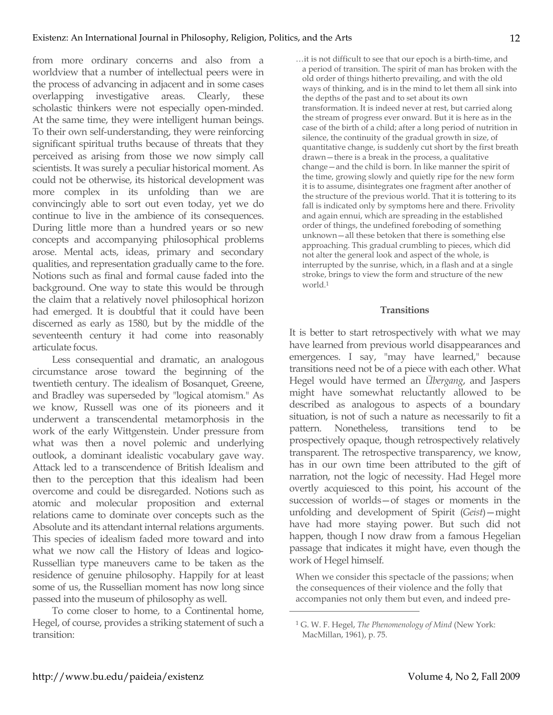from more ordinary concerns and also from a worldview that a number of intellectual peers were in the process of advancing in adjacent and in some cases overlapping investigative areas. Clearly, these scholastic thinkers were not especially open-minded. At the same time, they were intelligent human beings. To their own self-understanding, they were reinforcing significant spiritual truths because of threats that they perceived as arising from those we now simply call scientists. It was surely a peculiar historical moment. As could not be otherwise, its historical development was more complex in its unfolding than we are convincingly able to sort out even today, yet we do continue to live in the ambience of its consequences. During little more than a hundred years or so new concepts and accompanying philosophical problems arose. Mental acts, ideas, primary and secondary qualities, and representation gradually came to the fore. Notions such as final and formal cause faded into the background. One way to state this would be through the claim that a relatively novel philosophical horizon had emerged. It is doubtful that it could have been discerned as early as 1580, but by the middle of the seventeenth century it had come into reasonably articulate focus.

Less consequential and dramatic, an analogous circumstance arose toward the beginning of the twentieth century. The idealism of Bosanquet, Greene, and Bradley was superseded by "logical atomism." As we know, Russell was one of its pioneers and it underwent a transcendental metamorphosis in the work of the early Wittgenstein. Under pressure from what was then a novel polemic and underlying outlook, a dominant idealistic vocabulary gave way. Attack led to a transcendence of British Idealism and then to the perception that this idealism had been overcome and could be disregarded. Notions such as atomic and molecular proposition and external relations came to dominate over concepts such as the Absolute and its attendant internal relations arguments. This species of idealism faded more toward and into what we now call the History of Ideas and logico-Russellian type maneuvers came to be taken as the residence of genuine philosophy. Happily for at least some of us, the Russellian moment has now long since passed into the museum of philosophy as well.

To come closer to home, to a Continental home, Hegel, of course, provides a striking statement of such a transition:

…it is not difficult to see that our epoch is a birth-time, and a period of transition. The spirit of man has broken with the old order of things hitherto prevailing, and with the old ways of thinking, and is in the mind to let them all sink into the depths of the past and to set about its own transformation. It is indeed never at rest, but carried along the stream of progress ever onward. But it is here as in the case of the birth of a child; after a long period of nutrition in silence, the continuity of the gradual growth in size, of quantitative change, is suddenly cut short by the first breath drawn—there is a break in the process, a qualitative change—and the child is born. In like manner the spirit of the time, growing slowly and quietly ripe for the new form it is to assume, disintegrates one fragment after another of the structure of the previous world. That it is tottering to its fall is indicated only by symptoms here and there. Frivolity and again ennui, which are spreading in the established order of things, the undefined foreboding of something unknown—all these betoken that there is something else approaching. This gradual crumbling to pieces, which did not alter the general look and aspect of the whole, is interrupted by the sunrise, which, in a flash and at a single stroke, brings to view the form and structure of the new world.1

### **Transitions**

It is better to start retrospectively with what we may have learned from previous world disappearances and emergences. I say, "may have learned," because transitions need not be of a piece with each other. What Hegel would have termed an *Übergang*, and Jaspers might have somewhat reluctantly allowed to be described as analogous to aspects of a boundary situation, is not of such a nature as necessarily to fit a pattern. Nonetheless, transitions tend to be prospectively opaque, though retrospectively relatively transparent. The retrospective transparency, we know, has in our own time been attributed to the gift of narration, not the logic of necessity. Had Hegel more overtly acquiesced to this point, his account of the succession of worlds—of stages or moments in the unfolding and development of Spirit (*Geist*)—might have had more staying power. But such did not happen, though I now draw from a famous Hegelian passage that indicates it might have, even though the work of Hegel himself.

When we consider this spectacle of the passions; when the consequences of their violence and the folly that accompanies not only them but even, and indeed pre-

<sup>1</sup> G. W. F. Hegel, *The Phenomenology of Mind* (New York: MacMillan, 1961), p. 75.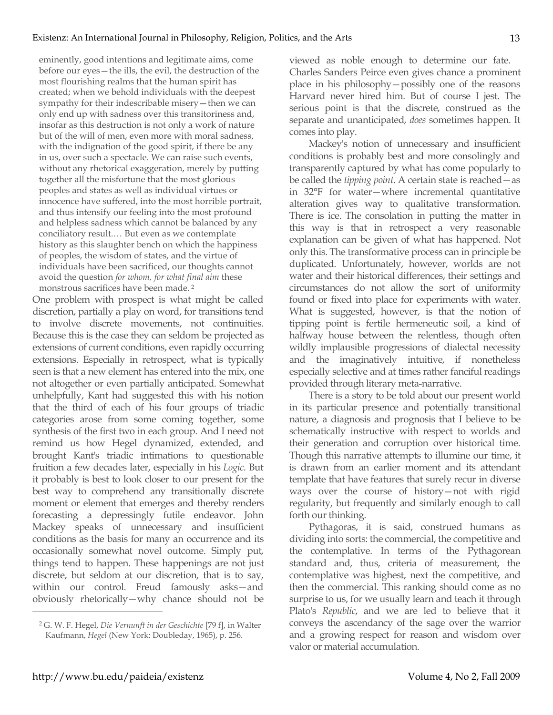eminently, good intentions and legitimate aims, come before our eyes—the ills, the evil, the destruction of the most flourishing realms that the human spirit has created; when we behold individuals with the deepest sympathy for their indescribable misery—then we can only end up with sadness over this transitoriness and, insofar as this destruction is not only a work of nature but of the will of men, even more with moral sadness, with the indignation of the good spirit, if there be any in us, over such a spectacle. We can raise such events, without any rhetorical exaggeration, merely by putting together all the misfortune that the most glorious peoples and states as well as individual virtues or innocence have suffered, into the most horrible portrait, and thus intensify our feeling into the most profound and helpless sadness which cannot be balanced by any conciliatory result.… But even as we contemplate history as this slaughter bench on which the happiness of peoples, the wisdom of states, and the virtue of individuals have been sacrificed, our thoughts cannot avoid the question *for whom, for what final aim* these monstrous sacrifices have been made. <sup>2</sup>

One problem with prospect is what might be called discretion, partially a play on word, for transitions tend to involve discrete movements, not continuities. Because this is the case they can seldom be projected as extensions of current conditions, even rapidly occurring extensions. Especially in retrospect, what is typically seen is that a new element has entered into the mix, one not altogether or even partially anticipated. Somewhat unhelpfully, Kant had suggested this with his notion that the third of each of his four groups of triadic categories arose from some coming together, some synthesis of the first two in each group. And I need not remind us how Hegel dynamized, extended, and brought Kant's triadic intimations to questionable fruition a few decades later, especially in his *Logic*. But it probably is best to look closer to our present for the best way to comprehend any transitionally discrete moment or element that emerges and thereby renders forecasting a depressingly futile endeavor. John Mackey speaks of unnecessary and insufficient conditions as the basis for many an occurrence and its occasionally somewhat novel outcome. Simply put, things tend to happen. These happenings are not just discrete, but seldom at our discretion, that is to say, within our control. Freud famously asks—and obviously rhetorically—why chance should not be

2 G. W. F. Hegel, *Die Vernunft in der Geschichte* [79 f], in Walter Kaufmann, *Hegel* (New York: Doubleday, 1965), p. 256.

viewed as noble enough to determine our fate. Charles Sanders Peirce even gives chance a prominent place in his philosophy—possibly one of the reasons Harvard never hired him. But of course I jest. The serious point is that the discrete, construed as the separate and unanticipated, *does* sometimes happen. It comes into play.

Mackey's notion of unnecessary and insufficient conditions is probably best and more consolingly and transparently captured by what has come popularly to be called the *tipping point*. A certain state is reached—as in 32°F for water—where incremental quantitative alteration gives way to qualitative transformation. There is ice. The consolation in putting the matter in this way is that in retrospect a very reasonable explanation can be given of what has happened. Not only this. The transformative process can in principle be duplicated. Unfortunately, however, worlds are not water and their historical differences, their settings and circumstances do not allow the sort of uniformity found or fixed into place for experiments with water. What is suggested, however, is that the notion of tipping point is fertile hermeneutic soil, a kind of halfway house between the relentless, though often wildly implausible progressions of dialectal necessity and the imaginatively intuitive, if nonetheless especially selective and at times rather fanciful readings provided through literary meta-narrative.

There is a story to be told about our present world in its particular presence and potentially transitional nature, a diagnosis and prognosis that I believe to be schematically instructive with respect to worlds and their generation and corruption over historical time. Though this narrative attempts to illumine our time, it is drawn from an earlier moment and its attendant template that have features that surely recur in diverse ways over the course of history—not with rigid regularity, but frequently and similarly enough to call forth our thinking.

Pythagoras, it is said, construed humans as dividing into sorts: the commercial, the competitive and the contemplative. In terms of the Pythagorean standard and, thus, criteria of measurement, the contemplative was highest, next the competitive, and then the commercial. This ranking should come as no surprise to us, for we usually learn and teach it through Plato's *Republic*, and we are led to believe that it conveys the ascendancy of the sage over the warrior and a growing respect for reason and wisdom over valor or material accumulation.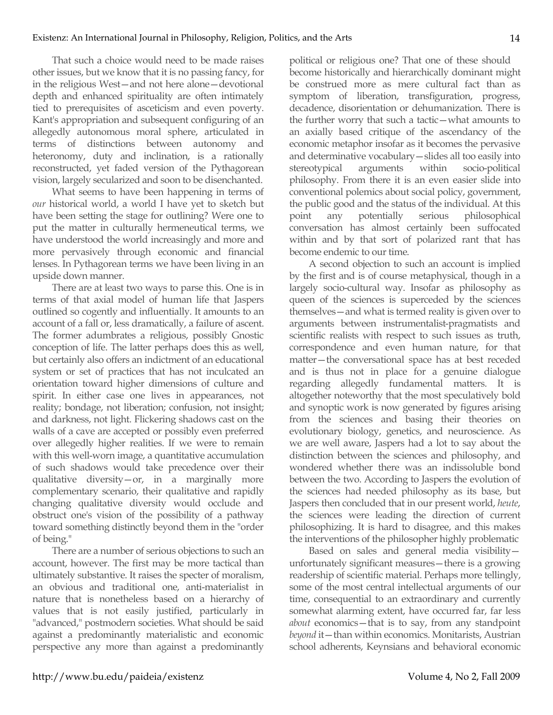That such a choice would need to be made raises other issues, but we know that it is no passing fancy, for in the religious West—and not here alone—devotional depth and enhanced spirituality are often intimately tied to prerequisites of asceticism and even poverty. Kant's appropriation and subsequent configuring of an allegedly autonomous moral sphere, articulated in terms of distinctions between autonomy and heteronomy, duty and inclination, is a rationally reconstructed, yet faded version of the Pythagorean vision, largely secularized and soon to be disenchanted.

What seems to have been happening in terms of *our* historical world, a world I have yet to sketch but have been setting the stage for outlining? Were one to put the matter in culturally hermeneutical terms, we have understood the world increasingly and more and more pervasively through economic and financial lenses. In Pythagorean terms we have been living in an upside down manner.

There are at least two ways to parse this. One is in terms of that axial model of human life that Jaspers outlined so cogently and influentially. It amounts to an account of a fall or, less dramatically, a failure of ascent. The former adumbrates a religious, possibly Gnostic conception of life. The latter perhaps does this as well, but certainly also offers an indictment of an educational system or set of practices that has not inculcated an orientation toward higher dimensions of culture and spirit. In either case one lives in appearances, not reality; bondage, not liberation; confusion, not insight; and darkness, not light. Flickering shadows cast on the walls of a cave are accepted or possibly even preferred over allegedly higher realities. If we were to remain with this well-worn image, a quantitative accumulation of such shadows would take precedence over their qualitative diversity—or, in a marginally more complementary scenario, their qualitative and rapidly changing qualitative diversity would occlude and obstruct one's vision of the possibility of a pathway toward something distinctly beyond them in the "order of being."

There are a number of serious objections to such an account, however. The first may be more tactical than ultimately substantive. It raises the specter of moralism, an obvious and traditional one, anti-materialist in nature that is nonetheless based on a hierarchy of values that is not easily justified, particularly in "advanced," postmodern societies. What should be said against a predominantly materialistic and economic perspective any more than against a predominantly political or religious one? That one of these should become historically and hierarchically dominant might be construed more as mere cultural fact than as symptom of liberation, transfiguration, progress, decadence, disorientation or dehumanization. There is the further worry that such a tactic—what amounts to an axially based critique of the ascendancy of the economic metaphor insofar as it becomes the pervasive and determinative vocabulary—slides all too easily into stereotypical arguments within socio-political philosophy. From there it is an even easier slide into conventional polemics about social policy, government, the public good and the status of the individual. At this point any potentially serious philosophical conversation has almost certainly been suffocated within and by that sort of polarized rant that has become endemic to our time.

A second objection to such an account is implied by the first and is of course metaphysical, though in a largely socio-cultural way. Insofar as philosophy as queen of the sciences is superceded by the sciences themselves—and what is termed reality is given over to arguments between instrumentalist-pragmatists and scientific realists with respect to such issues as truth, correspondence and even human nature, for that matter—the conversational space has at best receded and is thus not in place for a genuine dialogue regarding allegedly fundamental matters. It is altogether noteworthy that the most speculatively bold and synoptic work is now generated by figures arising from the sciences and basing their theories on evolutionary biology, genetics, and neuroscience. As we are well aware, Jaspers had a lot to say about the distinction between the sciences and philosophy, and wondered whether there was an indissoluble bond between the two. According to Jaspers the evolution of the sciences had needed philosophy as its base, but Jaspers then concluded that in our present world, *heute*, the sciences were leading the direction of current philosophizing. It is hard to disagree, and this makes the interventions of the philosopher highly problematic

Based on sales and general media visibility unfortunately significant measures—there is a growing readership of scientific material. Perhaps more tellingly, some of the most central intellectual arguments of our time, consequential to an extraordinary and currently somewhat alarming extent, have occurred far, far less *about* economics—that is to say, from any standpoint *beyond* it—than within economics. Monitarists, Austrian school adherents, Keynsians and behavioral economic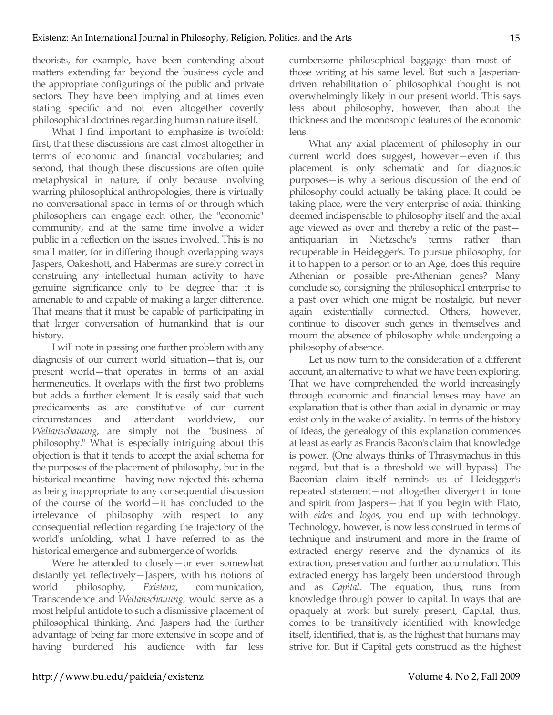theorists, for example, have been contending about matters extending far beyond the business cycle and the appropriate configurings of the public and private sectors. They have been implying and at times even stating specific and not even altogether covertly philosophical doctrines regarding human nature itself.

What I find important to emphasize is twofold: first, that these discussions are cast almost altogether in terms of economic and financial vocabularies; and second, that though these discussions are often quite metaphysical in nature, if only because involving warring philosophical anthropologies, there is virtually no conversational space in terms of or through which philosophers can engage each other, the "economic" community, and at the same time involve a wider public in a reflection on the issues involved. This is no small matter, for in differing though overlapping ways Jaspers, Oakeshott, and Habermas are surely correct in construing any intellectual human activity to have genuine significance only to be degree that it is amenable to and capable of making a larger difference. That means that it must be capable of participating in that larger conversation of humankind that is our history.

I will note in passing one further problem with any diagnosis of our current world situation—that is, our present world—that operates in terms of an axial hermeneutics. It overlaps with the first two problems but adds a further element. It is easily said that such predicaments as are constitutive of our current circumstances and attendant worldview, our *Weltanschauung*, are simply not the "business of philosophy." What is especially intriguing about this objection is that it tends to accept the axial schema for the purposes of the placement of philosophy, but in the historical meantime—having now rejected this schema as being inappropriate to any consequential discussion of the course of the world—it has concluded to the irrelevance of philosophy with respect to any consequential reflection regarding the trajectory of the world's unfolding, what I have referred to as the historical emergence and submergence of worlds.

Were he attended to closely—or even somewhat distantly yet reflectively—Jaspers, with his notions of world philosophy, *Existenz*, communication, Transcendence and *Weltanschauung*, would serve as a most helpful antidote to such a dismissive placement of philosophical thinking. And Jaspers had the further advantage of being far more extensive in scope and of having burdened his audience with far less cumbersome philosophical baggage than most of those writing at his same level. But such a Jasperiandriven rehabilitation of philosophical thought is not overwhelmingly likely in our present world. This says less about philosophy, however, than about the thickness and the monoscopic features of the economic lens.

What any axial placement of philosophy in our current world does suggest, however—even if this placement is only schematic and for diagnostic purposes—is why a serious discussion of the end of philosophy could actually be taking place. It could be taking place, were the very enterprise of axial thinking deemed indispensable to philosophy itself and the axial age viewed as over and thereby a relic of the past antiquarian in Nietzsche's terms rather than recuperable in Heidegger's. To pursue philosophy, for it to happen to a person or to an Age, does this require Athenian or possible pre-Athenian genes? Many conclude so, consigning the philosophical enterprise to a past over which one might be nostalgic, but never again existentially connected. Others, however, continue to discover such genes in themselves and mourn the absence of philosophy while undergoing a philosophy of absence.

Let us now turn to the consideration of a different account, an alternative to what we have been exploring. That we have comprehended the world increasingly through economic and financial lenses may have an explanation that is other than axial in dynamic or may exist only in the wake of axiality. In terms of the history of ideas, the genealogy of this explanation commences at least as early as Francis Bacon's claim that knowledge is power. (One always thinks of Thrasymachus in this regard, but that is a threshold we will bypass). The Baconian claim itself reminds us of Heidegger's repeated statement—not altogether divergent in tone and spirit from Jaspers—that if you begin with Plato, with *eidos* and *logos*, you end up with technology. Technology, however, is now less construed in terms of technique and instrument and more in the frame of extracted energy reserve and the dynamics of its extraction, preservation and further accumulation. This extracted energy has largely been understood through and as *Capital*. The equation, thus, runs from knowledge through power to capital. In ways that are opaquely at work but surely present, Capital, thus, comes to be transitively identified with knowledge itself, identified, that is, as the highest that humans may strive for. But if Capital gets construed as the highest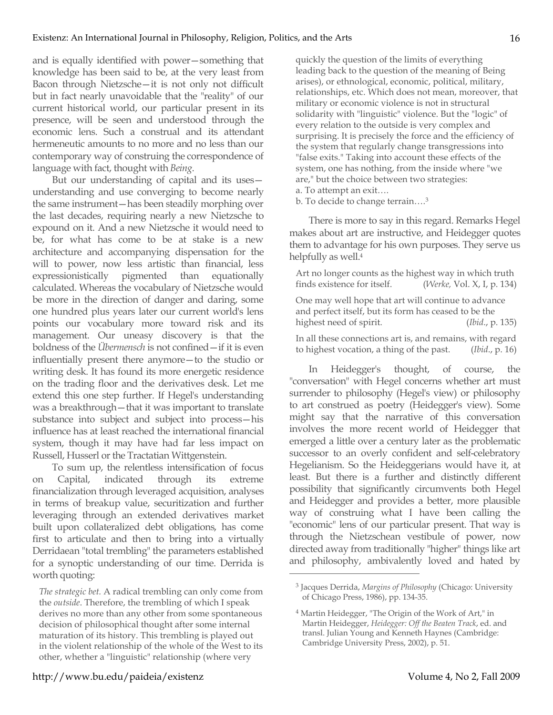and is equally identified with power—something that knowledge has been said to be, at the very least from Bacon through Nietzsche—it is not only not difficult but in fact nearly unavoidable that the "reality" of our current historical world, our particular present in its presence, will be seen and understood through the economic lens. Such a construal and its attendant hermeneutic amounts to no more and no less than our contemporary way of construing the correspondence of language with fact, thought with *Being*.

But our understanding of capital and its uses understanding and use converging to become nearly the same instrument—has been steadily morphing over the last decades, requiring nearly a new Nietzsche to expound on it. And a new Nietzsche it would need to be, for what has come to be at stake is a new architecture and accompanying dispensation for the will to power, now less artistic than financial, less expressionistically pigmented than equationally calculated. Whereas the vocabulary of Nietzsche would be more in the direction of danger and daring, some one hundred plus years later our current world's lens points our vocabulary more toward risk and its management. Our uneasy discovery is that the boldness of the *Übermensch* is not confined—if it is even influentially present there anymore—to the studio or writing desk. It has found its more energetic residence on the trading floor and the derivatives desk. Let me extend this one step further. If Hegel's understanding was a breakthrough—that it was important to translate substance into subject and subject into process—his influence has at least reached the international financial system, though it may have had far less impact on Russell, Husserl or the Tractatian Wittgenstein.

To sum up, the relentless intensification of focus on Capital, indicated through its extreme financialization through leveraged acquisition, analyses in terms of breakup value, securitization and further leveraging through an extended derivatives market built upon collateralized debt obligations, has come first to articulate and then to bring into a virtually Derridaean "total trembling" the parameters established for a synoptic understanding of our time. Derrida is worth quoting:

quickly the question of the limits of everything leading back to the question of the meaning of Being arises), or ethnological, economic, political, military, relationships, etc. Which does not mean, moreover, that military or economic violence is not in structural solidarity with "linguistic" violence. But the "logic" of every relation to the outside is very complex and surprising. It is precisely the force and the efficiency of the system that regularly change transgressions into "false exits." Taking into account these effects of the system, one has nothing, from the inside where "we are," but the choice between two strategies: a. To attempt an exit….

b. To decide to change terrain….3

There is more to say in this regard. Remarks Hegel makes about art are instructive, and Heidegger quotes them to advantage for his own purposes. They serve us helpfully as well.<sup>4</sup>

Art no longer counts as the highest way in which truth finds existence for itself. (*Werke,* Vol. X, I, p. 134) One may well hope that art will continue to advance and perfect itself, but its form has ceased to be the highest need of spirit. (*Ibid*., p. 135) In all these connections art is, and remains, with regard to highest vocation, a thing of the past. (*Ibid*., p. 16)

In Heidegger's thought, of course, the "conversation" with Hegel concerns whether art must surrender to philosophy (Hegel's view) or philosophy to art construed as poetry (Heidegger's view). Some might say that the narrative of this conversation involves the more recent world of Heidegger that emerged a little over a century later as the problematic successor to an overly confident and self-celebratory Hegelianism. So the Heideggerians would have it, at least. But there is a further and distinctly different possibility that significantly circumvents both Hegel and Heidegger and provides a better, more plausible way of construing what I have been calling the "economic" lens of our particular present. That way is through the Nietzschean vestibule of power, now directed away from traditionally "higher" things like art and philosophy, ambivalently loved and hated by

*The strategic bet.* A radical trembling can only come from the *outside*. Therefore, the trembling of which I speak derives no more than any other from some spontaneous decision of philosophical thought after some internal maturation of its history. This trembling is played out in the violent relationship of the whole of the West to its other, whether a "linguistic" relationship (where very

<sup>3</sup> Jacques Derrida, *Margins of Philosophy* (Chicago: University of Chicago Press, 1986), pp. 134-35.

<sup>4</sup> Martin Heidegger, "The Origin of the Work of Art," in Martin Heidegger, *Heidegger: Off the Beaten Track*, ed. and transl. Julian Young and Kenneth Haynes (Cambridge: Cambridge University Press, 2002), p. 51.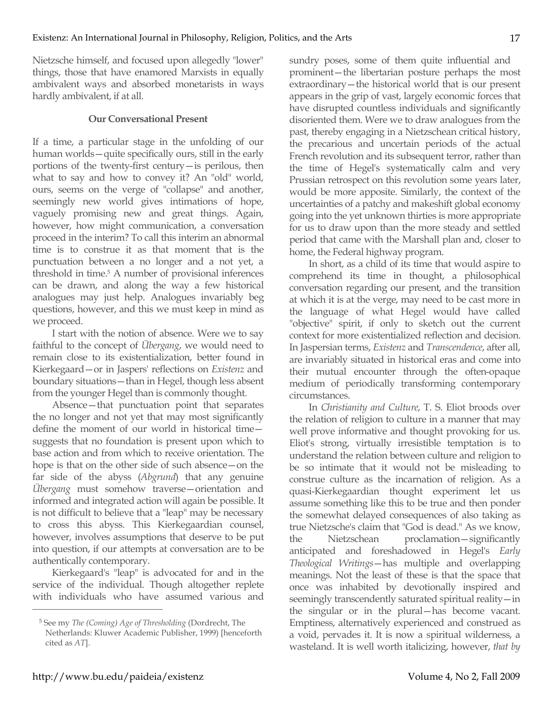Nietzsche himself, and focused upon allegedly "lower" things, those that have enamored Marxists in equally ambivalent ways and absorbed monetarists in ways hardly ambivalent, if at all.

### **Our Conversational Present**

If a time, a particular stage in the unfolding of our human worlds—quite specifically ours, still in the early portions of the twenty-first century—is perilous, then what to say and how to convey it? An "old" world, ours, seems on the verge of "collapse" and another, seemingly new world gives intimations of hope, vaguely promising new and great things. Again, however, how might communication, a conversation proceed in the interim? To call this interim an abnormal time is to construe it as that moment that is the punctuation between a no longer and a not yet, a threshold in time.5 A number of provisional inferences can be drawn, and along the way a few historical analogues may just help. Analogues invariably beg questions, however, and this we must keep in mind as we proceed.

I start with the notion of absence. Were we to say faithful to the concept of *Übergang*, we would need to remain close to its existentialization, better found in Kierkegaard—or in Jaspers' reflections on *Existenz* and boundary situations—than in Hegel, though less absent from the younger Hegel than is commonly thought.

Absence—that punctuation point that separates the no longer and not yet that may most significantly define the moment of our world in historical time suggests that no foundation is present upon which to base action and from which to receive orientation. The hope is that on the other side of such absence—on the far side of the abyss (*Abgrund*) that any genuine *Übergang* must somehow traverse—orientation and informed and integrated action will again be possible. It is not difficult to believe that a "leap" may be necessary to cross this abyss. This Kierkegaardian counsel, however, involves assumptions that deserve to be put into question, if our attempts at conversation are to be authentically contemporary.

Kierkegaard's "leap" is advocated for and in the service of the individual. Though altogether replete with individuals who have assumed various and sundry poses, some of them quite influential and prominent—the libertarian posture perhaps the most extraordinary—the historical world that is our present appears in the grip of vast, largely economic forces that have disrupted countless individuals and significantly disoriented them. Were we to draw analogues from the past, thereby engaging in a Nietzschean critical history, the precarious and uncertain periods of the actual French revolution and its subsequent terror, rather than the time of Hegel's systematically calm and very Prussian retrospect on this revolution some years later, would be more apposite. Similarly, the context of the uncertainties of a patchy and makeshift global economy going into the yet unknown thirties is more appropriate for us to draw upon than the more steady and settled period that came with the Marshall plan and, closer to home, the Federal highway program.

In short, as a child of its time that would aspire to comprehend its time in thought, a philosophical conversation regarding our present, and the transition at which it is at the verge, may need to be cast more in the language of what Hegel would have called "objective" spirit, if only to sketch out the current context for more existentialized reflection and decision. In Jaspersian terms, *Existenz* and *Transcendence*, after all, are invariably situated in historical eras and come into their mutual encounter through the often-opaque medium of periodically transforming contemporary circumstances.

In *Christianity and Culture*, T. S. Eliot broods over the relation of religion to culture in a manner that may well prove informative and thought provoking for us. Eliot's strong, virtually irresistible temptation is to understand the relation between culture and religion to be so intimate that it would not be misleading to construe culture as the incarnation of religion. As a quasi-Kierkegaardian thought experiment let us assume something like this to be true and then ponder the somewhat delayed consequences of also taking as true Nietzsche's claim that "God is dead." As we know, the Nietzschean proclamation—significantly anticipated and foreshadowed in Hegel's *Early Theological Writings*—has multiple and overlapping meanings. Not the least of these is that the space that once was inhabited by devotionally inspired and seemingly transcendently saturated spiritual reality—in the singular or in the plural—has become vacant. Emptiness, alternatively experienced and construed as a void, pervades it. It is now a spiritual wilderness, a wasteland. It is well worth italicizing, however, *that by* 

<sup>5</sup> See my *The (Coming) Age of Thresholding* (Dordrecht, The Netherlands: Kluwer Academic Publisher, 1999) [henceforth cited as *AT*].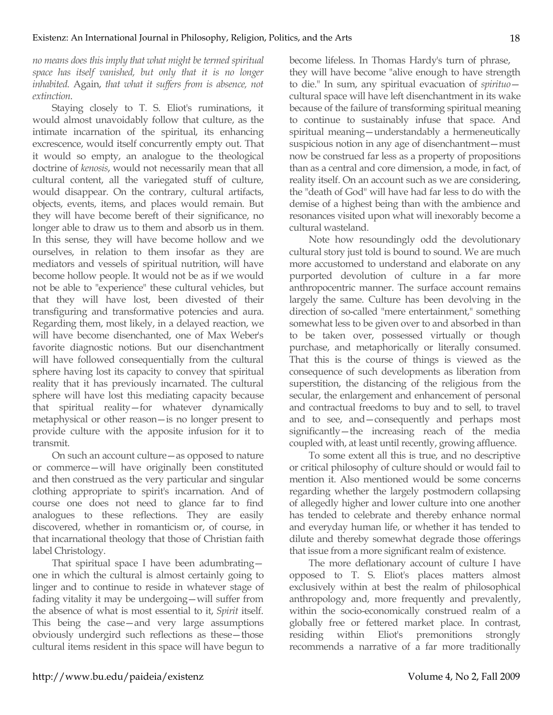*no means does this imply that what might be termed spiritual space has itself vanished, but only that it is no longer inhabited.* Again, *that what it suffers from is absence, not extinction*.

Staying closely to T. S. Eliot's ruminations, it would almost unavoidably follow that culture, as the intimate incarnation of the spiritual, its enhancing excrescence, would itself concurrently empty out. That it would so empty, an analogue to the theological doctrine of *kenosis*, would not necessarily mean that all cultural content, all the variegated stuff of culture, would disappear. On the contrary, cultural artifacts, objects, events, items, and places would remain. But they will have become bereft of their significance, no longer able to draw us to them and absorb us in them. In this sense, they will have become hollow and we ourselves, in relation to them insofar as they are mediators and vessels of spiritual nutrition, will have become hollow people. It would not be as if we would not be able to "experience" these cultural vehicles, but that they will have lost, been divested of their transfiguring and transformative potencies and aura. Regarding them, most likely, in a delayed reaction, we will have become disenchanted, one of Max Weber's favorite diagnostic notions. But our disenchantment will have followed consequentially from the cultural sphere having lost its capacity to convey that spiritual reality that it has previously incarnated. The cultural sphere will have lost this mediating capacity because that spiritual reality—for whatever dynamically metaphysical or other reason—is no longer present to provide culture with the apposite infusion for it to transmit.

On such an account culture—as opposed to nature or commerce—will have originally been constituted and then construed as the very particular and singular clothing appropriate to spirit's incarnation. And of course one does not need to glance far to find analogues to these reflections. They are easily discovered, whether in romanticism or, of course, in that incarnational theology that those of Christian faith label Christology.

That spiritual space I have been adumbrating one in which the cultural is almost certainly going to linger and to continue to reside in whatever stage of fading vitality it may be undergoing—will suffer from the absence of what is most essential to it, *Spirit* itself. This being the case—and very large assumptions obviously undergird such reflections as these—those cultural items resident in this space will have begun to become lifeless. In Thomas Hardy's turn of phrase, they will have become "alive enough to have strength to die." In sum, any spiritual evacuation of *spirituo* cultural space will have left disenchantment in its wake because of the failure of transforming spiritual meaning to continue to sustainably infuse that space. And spiritual meaning—understandably a hermeneutically suspicious notion in any age of disenchantment—must now be construed far less as a property of propositions than as a central and core dimension, a mode, in fact, of reality itself. On an account such as we are considering, the "death of God" will have had far less to do with the demise of a highest being than with the ambience and resonances visited upon what will inexorably become a cultural wasteland.

Note how resoundingly odd the devolutionary cultural story just told is bound to sound. We are much more accustomed to understand and elaborate on any purported devolution of culture in a far more anthropocentric manner. The surface account remains largely the same. Culture has been devolving in the direction of so-called "mere entertainment," something somewhat less to be given over to and absorbed in than to be taken over, possessed virtually or though purchase, and metaphorically or literally consumed. That this is the course of things is viewed as the consequence of such developments as liberation from superstition, the distancing of the religious from the secular, the enlargement and enhancement of personal and contractual freedoms to buy and to sell, to travel and to see, and—consequently and perhaps most significantly—the increasing reach of the media coupled with, at least until recently, growing affluence.

To some extent all this is true, and no descriptive or critical philosophy of culture should or would fail to mention it. Also mentioned would be some concerns regarding whether the largely postmodern collapsing of allegedly higher and lower culture into one another has tended to celebrate and thereby enhance normal and everyday human life, or whether it has tended to dilute and thereby somewhat degrade those offerings that issue from a more significant realm of existence.

The more deflationary account of culture I have opposed to T. S. Eliot's places matters almost exclusively within at best the realm of philosophical anthropology and, more frequently and prevalently, within the socio-economically construed realm of a globally free or fettered market place. In contrast, residing within Eliot's premonitions strongly recommends a narrative of a far more traditionally